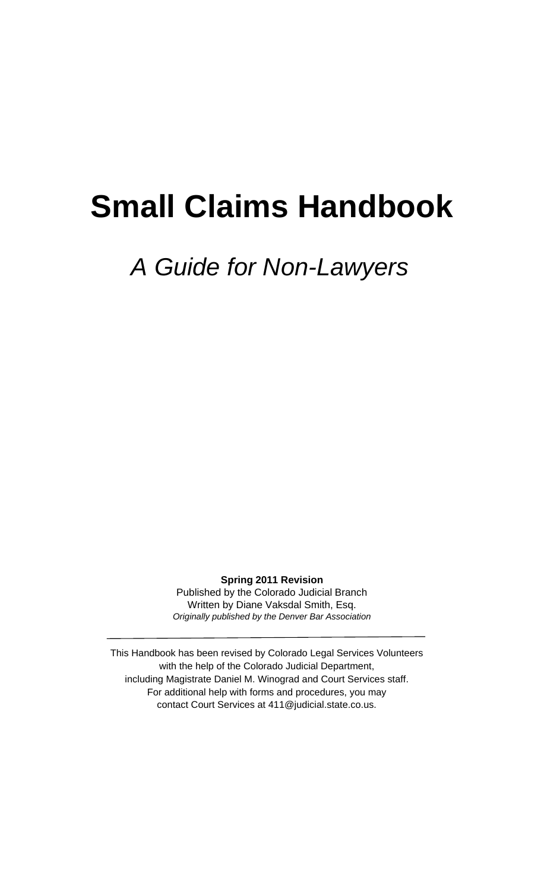# **Small Claims Handbook**

# *A Guide for Non-Lawyers*

**Spring 2011 Revision** Published by the Colorado Judicial Branch Written by Diane Vaksdal Smith, Esq. *Originally published by the Denver Bar Association* 

This Handbook has been revised by Colorado Legal Services Volunteers with the help of the Colorado Judicial Department, including Magistrate Daniel M. Winograd and Court Services staff. For additional help with forms and procedures, you may contact Court Services at 411@judicial.state.co.us.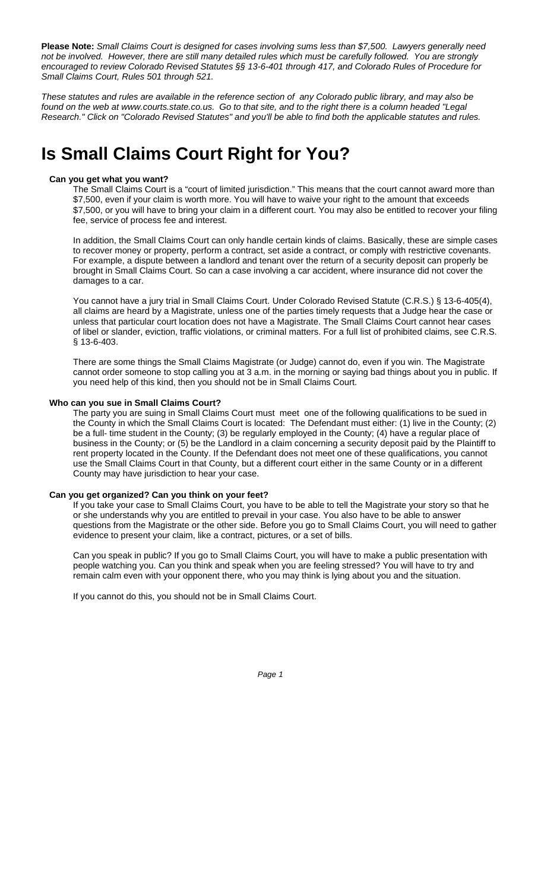**Please Note:** *Small Claims Court is designed for cases involving sums less than \$7,500. Lawyers generally need not be involved. However, there are still many detailed rules which must be carefully followed. You are strongly encouraged to review Colorado Revised Statutes §§ 13-6-401 through 417, and Colorado Rules of Procedure for Small Claims Court, Rules 501 through 521.*

*These statutes and rules are available in the reference section of any Colorado public library, and may also be* found on the web at www.courts.state.co.us. Go to that site, and to the right there is a column headed "Legal *Research." Click on "Colorado Revised Statutes" and you'll be able to find both the applicable statutes and rules.*

## **Is Small Claims Court Right for You?**

### **Can you get what you want?**

The Small Claims Court is a "court of limited jurisdiction." This means that the court cannot award more than \$7,500, even if your claim is worth more. You will have to waive your right to the amount that exceeds \$7,500, or you will have to bring your claim in a different court. You may also be entitled to recover your filing fee, service of process fee and interest.

In addition, the Small Claims Court can only handle certain kinds of claims. Basically, these are simple cases to recover money or property, perform a contract, set aside a contract, or comply with restrictive covenants. For example, a dispute between a landlord and tenant over the return of a security deposit can properly be brought in Small Claims Court. So can a case involving a car accident, where insurance did not cover the damages to a car.

You cannot have a jury trial in Small Claims Court. Under Colorado Revised Statute (C.R.S.) § 13-6-405(4), all claims are heard by a Magistrate, unless one of the parties timely requests that a Judge hear the case or unless that particular court location does not have a Magistrate. The Small Claims Court cannot hear cases of libel or slander, eviction, traffic violations, or criminal matters. For a full list of prohibited claims, see C.R.S. § 13-6-403.

There are some things the Small Claims Magistrate (or Judge) cannot do, even if you win. The Magistrate cannot order someone to stop calling you at 3 a.m. in the morning or saying bad things about you in public. If you need help of this kind, then you should not be in Small Claims Court.

### **Who can you sue in Small Claims Court?**

The party you are suing in Small Claims Court must meet one of the following qualifications to be sued in the County in which the Small Claims Court is located: The Defendant must either: (1) live in the County; (2) be a full- time student in the County; (3) be regularly employed in the County; (4) have a regular place of business in the County; or (5) be the Landlord in a claim concerning a security deposit paid by the Plaintiff to rent property located in the County. If the Defendant does not meet one of these qualifications, you cannot use the Small Claims Court in that County, but a different court either in the same County or in a different County may have jurisdiction to hear your case.

### **Can you get organized? Can you think on your feet?**

If you take your case to Small Claims Court, you have to be able to tell the Magistrate your story so that he or she understands why you are entitled to prevail in your case. You also have to be able to answer questions from the Magistrate or the other side. Before you go to Small Claims Court, you will need to gather evidence to present your claim, like a contract, pictures, or a set of bills.

Can you speak in public? If you go to Small Claims Court, you will have to make a public presentation with people watching you. Can you think and speak when you are feeling stressed? You will have to try and remain calm even with your opponent there, who you may think is lying about you and the situation.

If you cannot do this, you should not be in Small Claims Court.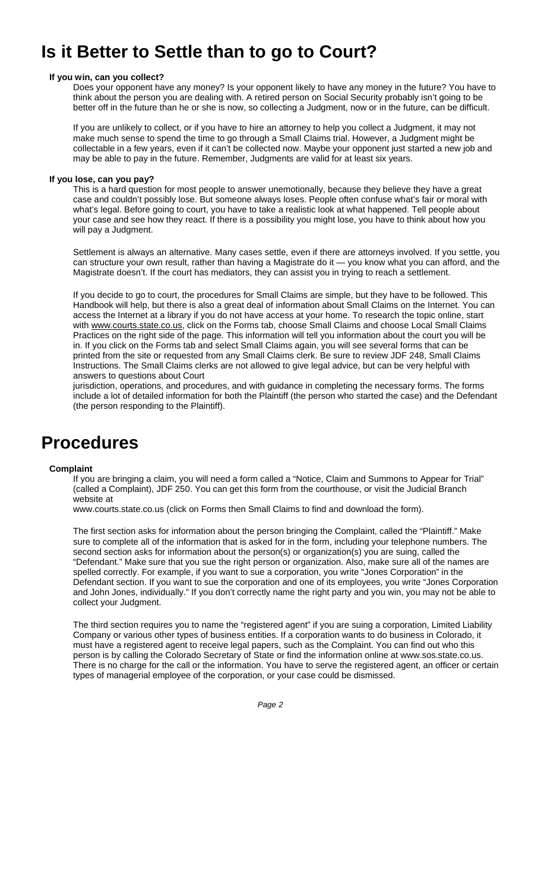# **Is it Better to Settle than to go to Court?**

### **If you win, can you collect?**

Does your opponent have any money? Is your opponent likely to have any money in the future? You have to think about the person you are dealing with. A retired person on Social Security probably isn't going to be better off in the future than he or she is now, so collecting a Judgment, now or in the future, can be difficult.

If you are unlikely to collect, or if you have to hire an attorney to help you collect a Judgment, it may not make much sense to spend the time to go through a Small Claims trial. However, a Judgment might be collectable in a few years, even if it can't be collected now. Maybe your opponent just started a new job and may be able to pay in the future. Remember, Judgments are valid for at least six years.

### **If you lose, can you pay?**

This is a hard question for most people to answer unemotionally, because they believe they have a great case and couldn't possibly lose. But someone always loses. People often confuse what's fair or moral with what's legal. Before going to court, you have to take a realistic look at what happened. Tell people about your case and see how they react. If there is a possibility you might lose, you have to think about how you will pay a Judgment.

Settlement is always an alternative. Many cases settle, even if there are attorneys involved. If you settle, you can structure your own result, rather than having a Magistrate do it — you know what you can afford, and the Magistrate doesn't. If the court has mediators, they can assist you in trying to reach a settlement.

If you decide to go to court, the procedures for Small Claims are simple, but they have to be followed. This Handbook will help, but there is also a great deal of information about Small Claims on the Internet. You can access the Internet at a library if you do not have access at your home. To research the topic online, start with www.courts.state.co.us, click on the Forms tab, choose Small Claims and choose Local Small Claims Practices on the right side of the page. This information will tell you information about the court you will be in. If you click on the Forms tab and select Small Claims again, you will see several forms that can be printed from the site or requested from any Small Claims clerk. Be sure to review JDF 248, Small Claims Instructions. The Small Claims clerks are not allowed to give legal advice, but can be very helpful with answers to questions about Court

jurisdiction, operations, and procedures, and with guidance in completing the necessary forms. The forms include a lot of detailed information for both the Plaintiff (the person who started the case) and the Defendant (the person responding to the Plaintiff).

### **Procedures**

### **Complaint**

If you are bringing a claim, you will need a form called a "Notice, Claim and Summons to Appear for Trial" (called a Complaint), JDF 250. You can get this form from the courthouse, or visit the Judicial Branch website at

www.courts.state.co.us (click on Forms then Small Claims to find and download the form).

The first section asks for information about the person bringing the Complaint, called the "Plaintiff." Make sure to complete all of the information that is asked for in the form, including your telephone numbers. The second section asks for information about the person(s) or organization(s) you are suing, called the "Defendant." Make sure that you sue the right person or organization. Also, make sure all of the names are spelled correctly. For example, if you want to sue a corporation, you write "Jones Corporation" in the Defendant section. If you want to sue the corporation and one of its employees, you write "Jones Corporation and John Jones, individually." If you don't correctly name the right party and you win, you may not be able to collect your Judgment.

The third section requires you to name the "registered agent" if you are suing a corporation, Limited Liability Company or various other types of business entities. If a corporation wants to do business in Colorado, it must have a registered agent to receive legal papers, such as the Complaint. You can find out who this person is by calling the Colorado Secretary of State or find the information online at www.sos.state.co.us. There is no charge for the call or the information. You have to serve the registered agent, an officer or certain types of managerial employee of the corporation, or your case could be dismissed.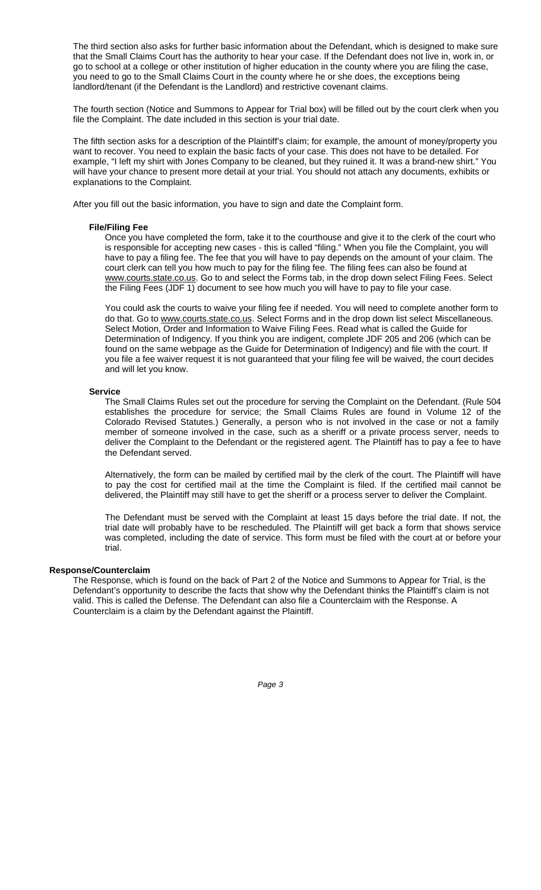The third section also asks for further basic information about the Defendant, which is designed to make sure that the Small Claims Court has the authority to hear your case. If the Defendant does not live in, work in, or go to school at a college or other institution of higher education in the county where you are filing the case, you need to go to the Small Claims Court in the county where he or she does, the exceptions being landlord/tenant (if the Defendant is the Landlord) and restrictive covenant claims.

The fourth section (Notice and Summons to Appear for Trial box) will be filled out by the court clerk when you file the Complaint. The date included in this section is your trial date.

The fifth section asks for a description of the Plaintiff's claim; for example, the amount of money/property you want to recover. You need to explain the basic facts of your case. This does not have to be detailed. For example, "I left my shirt with Jones Company to be cleaned, but they ruined it. It was a brand-new shirt." You will have your chance to present more detail at your trial. You should not attach any documents, exhibits or explanations to the Complaint.

After you fill out the basic information, you have to sign and date the Complaint form.

### **File/Filing Fee**

Once you have completed the form, take it to the courthouse and give it to the clerk of the court who is responsible for accepting new cases - this is called "filing." When you file the Complaint, you will have to pay a filing fee. The fee that you will have to pay depends on the amount of your claim. The court clerk can tell you how much to pay for the filing fee. The filing fees can also be found at www.courts.state.co.us</u>. Go to and select the Forms tab, in the drop down select Filing Fees. Select the Filing Fees (JDF 1) document to see how much you will have to pay to file your case.

You could ask the courts to waive your filing fee if needed. You will need to complete another form to do that. Go to www.courts.state.co.us. Select Forms and in the drop down list select Miscellaneous. Select Motion, Order and Information to Waive Filing Fees. Read what is called the Guide for Determination of Indigency. If you think you are indigent, complete JDF 205 and 206 (which can be found on the same webpage as the Guide for Determination of Indigency) and file with the court. If you file a fee waiver request it is not guaranteed that your filing fee will be waived, the court decides and will let you know.

### **Service**

The Small Claims Rules set out the procedure for serving the Complaint on the Defendant. (Rule 504 establishes the procedure for service; the Small Claims Rules are found in Volume 12 of the Colorado Revised Statutes.) Generally, a person who is not involved in the case or not a family member of someone involved in the case, such as a sheriff or a private process server, needs to deliver the Complaint to the Defendant or the registered agent. The Plaintiff has to pay a fee to have the Defendant served.

Alternatively, the form can be mailed by certified mail by the clerk of the court. The Plaintiff will have to pay the cost for certified mail at the time the Complaint is filed. If the certified mail cannot be delivered, the Plaintiff may still have to get the sheriff or a process server to deliver the Complaint.

The Defendant must be served with the Complaint at least 15 days before the trial date. If not, the trial date will probably have to be rescheduled. The Plaintiff will get back a form that shows service was completed, including the date of service. This form must be filed with the court at or before your trial.

### **Response/Counterclaim**

The Response, which is found on the back of Part 2 of the Notice and Summons to Appear for Trial, is the Defendant's opportunity to describe the facts that show why the Defendant thinks the Plaintiff's claim is not valid. This is called the Defense. The Defendant can also file a Counterclaim with the Response. A Counterclaim is a claim by the Defendant against the Plaintiff.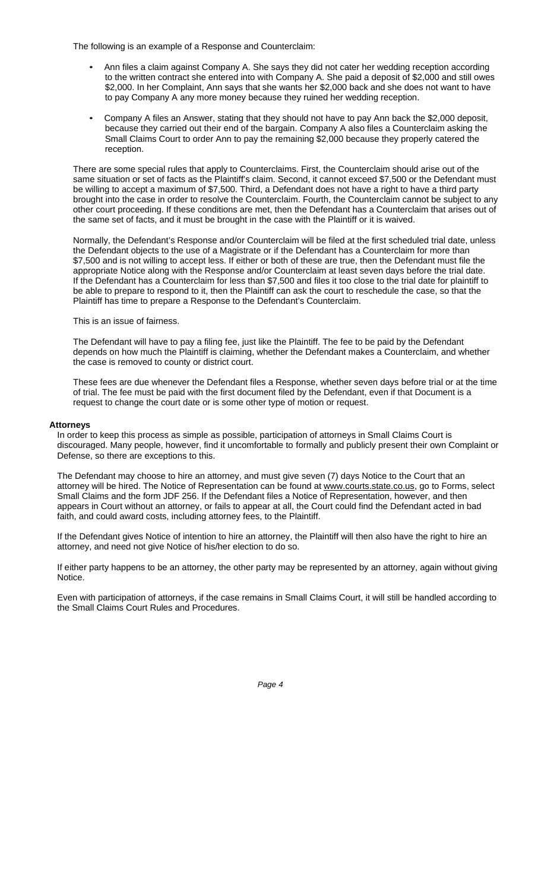The following is an example of a Response and Counterclaim:

- Ann files a claim against Company A. She says they did not cater her wedding reception according to the written contract she entered into with Company A. She paid a deposit of \$2,000 and still owes \$2,000. In her Complaint, Ann says that she wants her \$2,000 back and she does not want to have to pay Company A any more money because they ruined her wedding reception.
- Company A files an Answer, stating that they should not have to pay Ann back the \$2,000 deposit, because they carried out their end of the bargain. Company A also files a Counterclaim asking the Small Claims Court to order Ann to pay the remaining \$2,000 because they properly catered the reception.

There are some special rules that apply to Counterclaims. First, the Counterclaim should arise out of the same situation or set of facts as the Plaintiff's claim. Second, it cannot exceed \$7,500 or the Defendant must be willing to accept a maximum of \$7,500. Third, a Defendant does not have a right to have a third party brought into the case in order to resolve the Counterclaim. Fourth, the Counterclaim cannot be subject to any other court proceeding. If these conditions are met, then the Defendant has a Counterclaim that arises out of the same set of facts, and it must be brought in the case with the Plaintiff or it is waived.

Normally, the Defendant's Response and/or Counterclaim will be filed at the first scheduled trial date, unless the Defendant objects to the use of a Magistrate or if the Defendant has a Counterclaim for more than \$7,500 and is not willing to accept less. If either or both of these are true, then the Defendant must file the appropriate Notice along with the Response and/or Counterclaim at least seven days before the trial date. If the Defendant has a Counterclaim for less than \$7,500 and files it too close to the trial date for plaintiff to be able to prepare to respond to it, then the Plaintiff can ask the court to reschedule the case, so that the Plaintiff has time to prepare a Response to the Defendant's Counterclaim.

This is an issue of fairness.

The Defendant will have to pay a filing fee, just like the Plaintiff. The fee to be paid by the Defendant depends on how much the Plaintiff is claiming, whether the Defendant makes a Counterclaim, and whether the case is removed to county or district court.

These fees are due whenever the Defendant files a Response, whether seven days before trial or at the time of trial. The fee must be paid with the first document filed by the Defendant, even if that Document is a request to change the court date or is some other type of motion or request.

### **Attorneys**

In order to keep this process as simple as possible, participation of attorneys in Small Claims Court is discouraged. Many people, however, find it uncomfortable to formally and publicly present their own Complaint or Defense, so there are exceptions to this.

The Defendant may choose to hire an attorney, and must give seven (7) days Notice to the Court that an attorney will be hired. The Notice of Representation can be found at www.courts.state.co.us, go to Forms, select Small Claims and the form JDF 256. If the Defendant files a Notice of Representation, however, and then appears in Court without an attorney, or fails to appear at all, the Court could find the Defendant acted in bad faith, and could award costs, including attorney fees, to the Plaintiff.

If the Defendant gives Notice of intention to hire an attorney, the Plaintiff will then also have the right to hire an attorney, and need not give Notice of his/her election to do so.

If either party happens to be an attorney, the other party may be represented by an attorney, again without giving Notice.

Even with participation of attorneys, if the case remains in Small Claims Court, it will still be handled according to the Small Claims Court Rules and Procedures.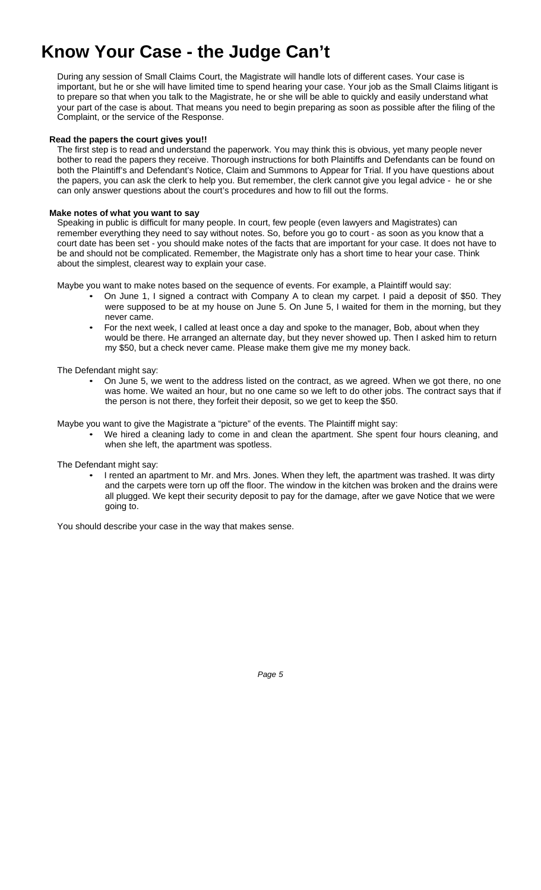# **Know Your Case - the Judge Can't**

During any session of Small Claims Court, the Magistrate will handle lots of different cases. Your case is important, but he or she will have limited time to spend hearing your case. Your job as the Small Claims litigant is to prepare so that when you talk to the Magistrate, he or she will be able to quickly and easily understand what your part of the case is about. That means you need to begin preparing as soon as possible after the filing of the Complaint, or the service of the Response.

### **Read the papers the court gives you!!**

The first step is to read and understand the paperwork. You may think this is obvious, yet many people never bother to read the papers they receive. Thorough instructions for both Plaintiffs and Defendants can be found on both the Plaintiff's and Defendant's Notice, Claim and Summons to Appear for Trial. If you have questions about the papers, you can ask the clerk to help you. But remember, the clerk cannot give you legal advice - he or she can only answer questions about the court's procedures and how to fill out the forms.

### **Make notes of what you want to say**

Speaking in public is difficult for many people. In court, few people (even lawyers and Magistrates) can remember everything they need to say without notes. So, before you go to court - as soon as you know that a court date has been set - you should make notes of the facts that are important for your case. It does not have to be and should not be complicated. Remember, the Magistrate only has a short time to hear your case. Think about the simplest, clearest way to explain your case.

Maybe you want to make notes based on the sequence of events. For example, a Plaintiff would say:

- On June 1, I signed a contract with Company A to clean my carpet. I paid a deposit of \$50. They were supposed to be at my house on June 5. On June 5, I waited for them in the morning, but they never came.
- For the next week, I called at least once a day and spoke to the manager, Bob, about when they would be there. He arranged an alternate day, but they never showed up. Then I asked him to return my \$50, but a check never came. Please make them give me my money back.

The Defendant might say:

• On June 5, we went to the address listed on the contract, as we agreed. When we got there, no one was home. We waited an hour, but no one came so we left to do other jobs. The contract says that if the person is not there, they forfeit their deposit, so we get to keep the \$50.

Maybe you want to give the Magistrate a "picture" of the events. The Plaintiff might say:

• We hired a cleaning lady to come in and clean the apartment. She spent four hours cleaning, and when she left, the apartment was spotless.

The Defendant might say:

• I rented an apartment to Mr. and Mrs. Jones. When they left, the apartment was trashed. It was dirty and the carpets were torn up off the floor. The window in the kitchen was broken and the drains were all plugged. We kept their security deposit to pay for the damage, after we gave Notice that we were going to.

You should describe your case in the way that makes sense.

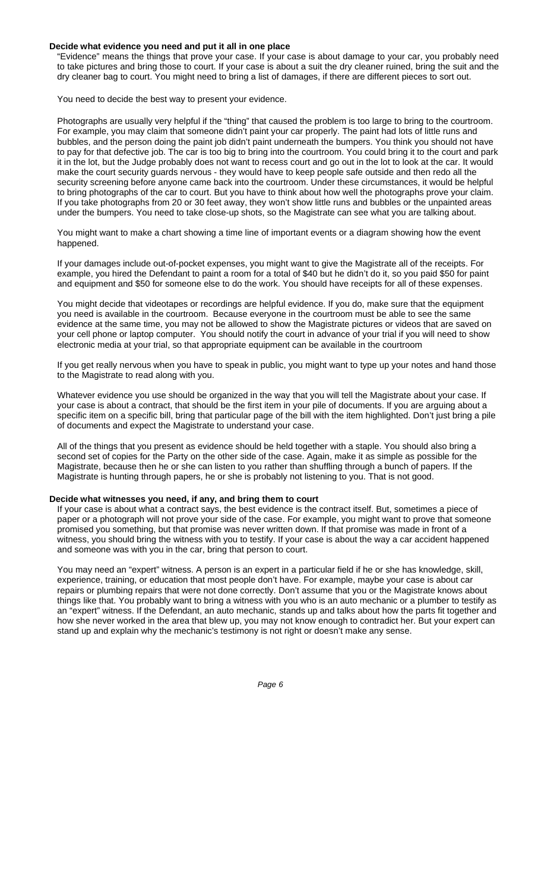### **Decide what evidence you need and put it all in one place**

"Evidence" means the things that prove your case. If your case is about damage to your car, you probably need to take pictures and bring those to court. If your case is about a suit the dry cleaner ruined, bring the suit and the dry cleaner bag to court. You might need to bring a list of damages, if there are different pieces to sort out.

You need to decide the best way to present your evidence.

Photographs are usually very helpful if the "thing" that caused the problem is too large to bring to the courtroom. For example, you may claim that someone didn't paint your car properly. The paint had lots of little runs and bubbles, and the person doing the paint job didn't paint underneath the bumpers. You think you should not have to pay for that defective job. The car is too big to bring into the courtroom. You could bring it to the court and park it in the lot, but the Judge probably does not want to recess court and go out in the lot to look at the car. It would make the court security guards nervous - they would have to keep people safe outside and then redo all the security screening before anyone came back into the courtroom. Under these circumstances, it would be helpful to bring photographs of the car to court. But you have to think about how well the photographs prove your claim. If you take photographs from 20 or 30 feet away, they won't show little runs and bubbles or the unpainted areas under the bumpers. You need to take close-up shots, so the Magistrate can see what you are talking about.

You might want to make a chart showing a time line of important events or a diagram showing how the event happened.

If your damages include out-of-pocket expenses, you might want to give the Magistrate all of the receipts. For example, you hired the Defendant to paint a room for a total of \$40 but he didn't do it, so you paid \$50 for paint and equipment and \$50 for someone else to do the work. You should have receipts for all of these expenses.

You might decide that videotapes or recordings are helpful evidence. If you do, make sure that the equipment you need is available in the courtroom. Because everyone in the courtroom must be able to see the same evidence at the same time, you may not be allowed to show the Magistrate pictures or videos that are saved on your cell phone or laptop computer. You should notify the court in advance of your trial if you will need to show electronic media at your trial, so that appropriate equipment can be available in the courtroom

If you get really nervous when you have to speak in public, you might want to type up your notes and hand those to the Magistrate to read along with you.

Whatever evidence you use should be organized in the way that you will tell the Magistrate about your case. If your case is about a contract, that should be the first item in your pile of documents. If you are arguing about a specific item on a specific bill, bring that particular page of the bill with the item highlighted. Don't just bring a pile of documents and expect the Magistrate to understand your case.

All of the things that you present as evidence should be held together with a staple. You should also bring a second set of copies for the Party on the other side of the case. Again, make it as simple as possible for the Magistrate, because then he or she can listen to you rather than shuffling through a bunch of papers. If the Magistrate is hunting through papers, he or she is probably not listening to you. That is not good.

### **Decide what witnesses you need, if any, and bring them to court**

If your case is about what a contract says, the best evidence is the contract itself. But, sometimes a piece of paper or a photograph will not prove your side of the case. For example, you might want to prove that someone promised you something, but that promise was never written down. If that promise was made in front of a witness, you should bring the witness with you to testify. If your case is about the way a car accident happened and someone was with you in the car, bring that person to court.

You may need an "expert" witness. A person is an expert in a particular field if he or she has knowledge, skill, experience, training, or education that most people don't have. For example, maybe your case is about car repairs or plumbing repairs that were not done correctly. Don't assume that you or the Magistrate knows about things like that. You probably want to bring a witness with you who is an auto mechanic or a plumber to testify as an "expert" witness. If the Defendant, an auto mechanic, stands up and talks about how the parts fit together and how she never worked in the area that blew up, you may not know enough to contradict her. But your expert can stand up and explain why the mechanic's testimony is not right or doesn't make any sense.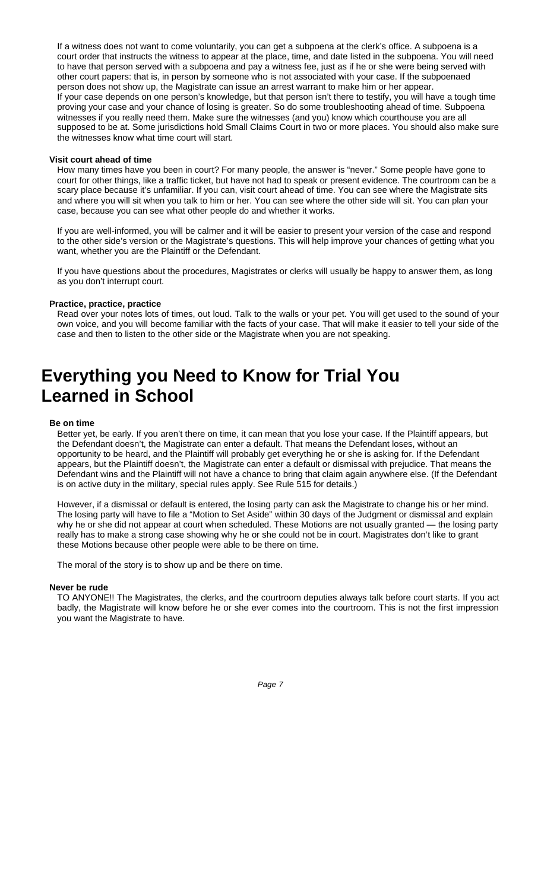If a witness does not want to come voluntarily, you can get a subpoena at the clerk's office. A subpoena is a court order that instructs the witness to appear at the place, time, and date listed in the subpoena. You will need to have that person served with a subpoena and pay a witness fee, just as if he or she were being served with other court papers: that is, in person by someone who is not associated with your case. If the subpoenaed person does not show up, the Magistrate can issue an arrest warrant to make him or her appear. If your case depends on one person's knowledge, but that person isn't there to testify, you will have a tough time proving your case and your chance of losing is greater. So do some troubleshooting ahead of time. Subpoena witnesses if you really need them. Make sure the witnesses (and you) know which courthouse you are all supposed to be at. Some jurisdictions hold Small Claims Court in two or more places. You should also make sure the witnesses know what time court will start.

### **Visit court ahead of time**

How many times have you been in court? For many people, the answer is "never." Some people have gone to court for other things, like a traffic ticket, but have not had to speak or present evidence. The courtroom can be a scary place because it's unfamiliar. If you can, visit court ahead of time. You can see where the Magistrate sits and where you will sit when you talk to him or her. You can see where the other side will sit. You can plan your case, because you can see what other people do and whether it works.

If you are well-informed, you will be calmer and it will be easier to present your version of the case and respond to the other side's version or the Magistrate's questions. This will help improve your chances of getting what you want, whether you are the Plaintiff or the Defendant.

If you have questions about the procedures, Magistrates or clerks will usually be happy to answer them, as long as you don't interrupt court.

### **Practice, practice, practice**

Read over your notes lots of times, out loud. Talk to the walls or your pet. You will get used to the sound of your own voice, and you will become familiar with the facts of your case. That will make it easier to tell your side of the case and then to listen to the other side or the Magistrate when you are not speaking.

### **Everything you Need to Know for Trial You Learned in School**

### **Be on time**

Better yet, be early. If you aren't there on time, it can mean that you lose your case. If the Plaintiff appears, but the Defendant doesn't, the Magistrate can enter a default. That means the Defendant loses, without an opportunity to be heard, and the Plaintiff will probably get everything he or she is asking for. If the Defendant appears, but the Plaintiff doesn't, the Magistrate can enter a default or dismissal with prejudice. That means the Defendant wins and the Plaintiff will not have a chance to bring that claim again anywhere else. (If the Defendant is on active duty in the military, special rules apply. See Rule 515 for details.)

However, if a dismissal or default is entered, the losing party can ask the Magistrate to change his or her mind. The losing party will have to file a "Motion to Set Aside" within 30 days of the Judgment or dismissal and explain why he or she did not appear at court when scheduled. These Motions are not usually granted — the losing party really has to make a strong case showing why he or she could not be in court. Magistrates don't like to grant these Motions because other people were able to be there on time.

The moral of the story is to show up and be there on time.

### **Never be rude**

TO ANYONE!! The Magistrates, the clerks, and the courtroom deputies always talk before court starts. If you act badly, the Magistrate will know before he or she ever comes into the courtroom. This is not the first impression you want the Magistrate to have.